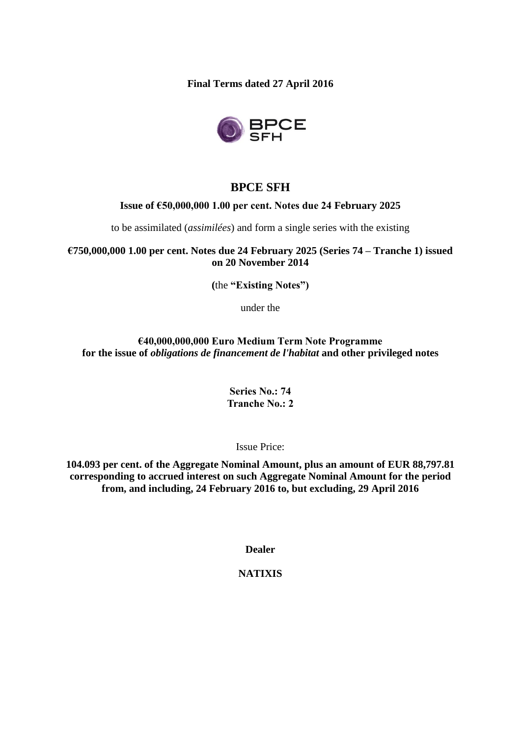**Final Terms dated 27 April 2016**



## **BPCE SFH**

#### **Issue of €50,000,000 1.00 per cent. Notes due 24 February 2025**

to be assimilated (*assimilées*) and form a single series with the existing

**€750,000,000 1.00 per cent. Notes due 24 February 2025 (Series 74 – Tranche 1) issued on 20 November 2014**

**(**the **"Existing Notes")**

under the

#### **€40,000,000,000 Euro Medium Term Note Programme for the issue of** *obligations de financement de l'habitat* **and other privileged notes**

**Series No.: 74 Tranche No.: 2**

Issue Price:

**104.093 per cent. of the Aggregate Nominal Amount, plus an amount of EUR 88,797.81 corresponding to accrued interest on such Aggregate Nominal Amount for the period from, and including, 24 February 2016 to, but excluding, 29 April 2016** 

**Dealer**

**NATIXIS**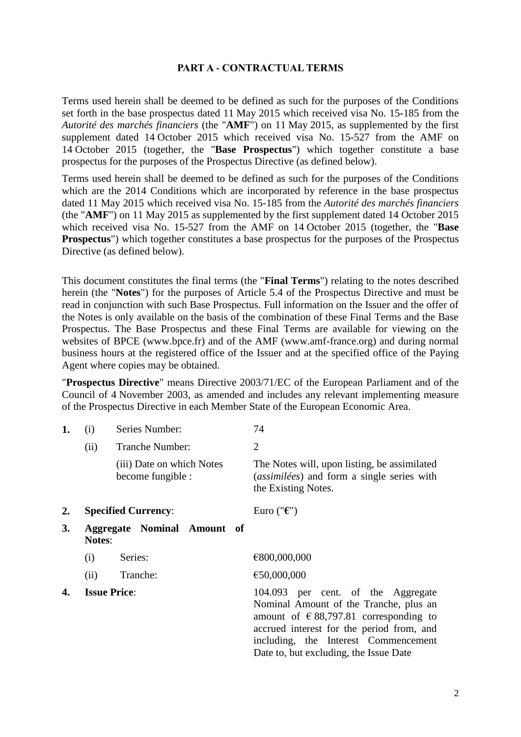#### **PART A - CONTRACTUAL TERMS**

Terms used herein shall be deemed to be defined as such for the purposes of the Conditions set forth in the base prospectus dated 11 May 2015 which received visa No. 15-185 from the *Autorité des marchés financiers* (the "**AMF**") on 11 May 2015, as supplemented by the first supplement dated 14 October 2015 which received visa No. 15-527 from the AMF on 14 October 2015 (together, the "**Base Prospectus**") which together constitute a base prospectus for the purposes of the Prospectus Directive (as defined below).

Terms used herein shall be deemed to be defined as such for the purposes of the Conditions which are the 2014 Conditions which are incorporated by reference in the base prospectus dated 11 May 2015 which received visa No. 15-185 from the *Autorité des marchés financiers*  (the "**AMF**") on 11 May 2015 as supplemented by the first supplement dated 14 October 2015 which received visa No. 15-527 from the AMF on 14 October 2015 (together, the "**Base Prospectus**") which together constitutes a base prospectus for the purposes of the Prospectus Directive (as defined below).

This document constitutes the final terms (the "**Final Terms**") relating to the notes described herein (the "**Notes**") for the purposes of Article 5.4 of the Prospectus Directive and must be read in conjunction with such Base Prospectus. Full information on the Issuer and the offer of the Notes is only available on the basis of the combination of these Final Terms and the Base Prospectus. The Base Prospectus and these Final Terms are available for viewing on the websites of BPCE (www.bpce.fr) and of the AMF (www.amf-france.org) and during normal business hours at the registered office of the Issuer and at the specified office of the Paying Agent where copies may be obtained.

"**Prospectus Directive**" means Directive 2003/71/EC of the European Parliament and of the Council of 4 November 2003, as amended and includes any relevant implementing measure of the Prospectus Directive in each Member State of the European Economic Area.

|    | $\left(1\right)$ | Series Number:                                 | 74                                                                                                                         |
|----|------------------|------------------------------------------------|----------------------------------------------------------------------------------------------------------------------------|
|    | (ii)             | Tranche Number:                                | 2                                                                                                                          |
|    |                  | (iii) Date on which Notes<br>become fungible : | The Notes will, upon listing, be assimilated<br>( <i>assimilées</i> ) and form a single series with<br>the Existing Notes. |
| 2. |                  | <b>Specified Currency:</b>                     | Euro (" $\epsilon$ ")                                                                                                      |
| 3. | <b>Notes:</b>    | Aggregate Nominal Amount of                    |                                                                                                                            |

| (i) | Series: | €800,000,000 |
|-----|---------|--------------|
|     |         |              |

- (ii) Tranche: €50,000,000
- 

**4. Issue Price**: 104.093 per cent. of the Aggregate Nominal Amount of the Tranche, plus an amount of  $\in$  88,797.81 corresponding to accrued interest for the period from, and including, the Interest Commencement Date to, but excluding, the Issue Date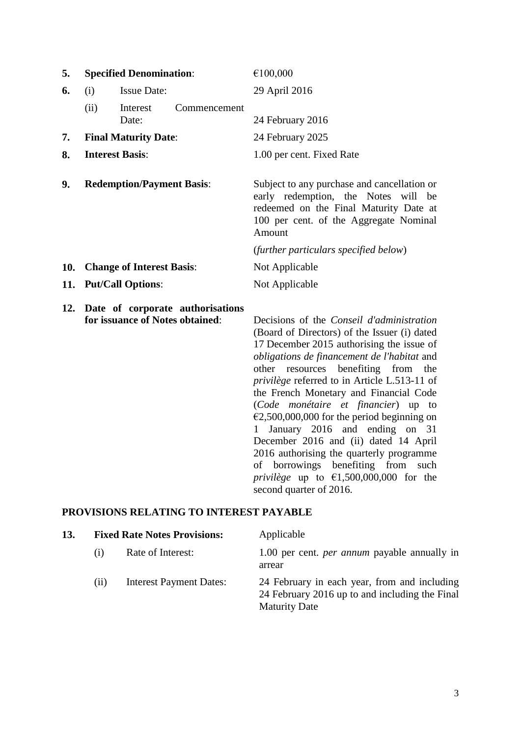| 5.  |                                  | <b>Specified Denomination:</b>    | €100,000                                                                                                                                                                         |
|-----|----------------------------------|-----------------------------------|----------------------------------------------------------------------------------------------------------------------------------------------------------------------------------|
| 6.  | (i)                              | <b>Issue Date:</b>                | 29 April 2016                                                                                                                                                                    |
|     | (ii)                             | Interest<br>Commencement<br>Date: | 24 February 2016                                                                                                                                                                 |
| 7.  | <b>Final Maturity Date:</b>      |                                   | 24 February 2025                                                                                                                                                                 |
| 8.  |                                  | <b>Interest Basis:</b>            | 1.00 per cent. Fixed Rate                                                                                                                                                        |
| 9.  | <b>Redemption/Payment Basis:</b> |                                   | Subject to any purchase and cancellation or<br>early redemption, the Notes will be<br>redeemed on the Final Maturity Date at<br>100 per cent. of the Aggregate Nominal<br>Amount |
|     |                                  |                                   | (further particulars specified below)                                                                                                                                            |
| 10. |                                  | <b>Change of Interest Basis:</b>  | Not Applicable                                                                                                                                                                   |
|     |                                  | 11. Put/Call Options:             | Not Applicable                                                                                                                                                                   |

**12. Date of corporate authorisations** 

**for issuance of Notes obtained**: Decisions of the *Conseil d'administration* (Board of Directors) of the Issuer (i) dated 17 December 2015 authorising the issue of *obligations de financement de l'habitat* and other resources benefiting from the *privilège* referred to in Article L.513-11 of the French Monetary and Financial Code (*Code monétaire et financier*) up to  $\epsilon$ 2,500,000,000 for the period beginning on 1 January 2016 and ending on 31 December 2016 and (ii) dated 14 April 2016 authorising the quarterly programme of borrowings benefiting from such *privilège* up to  $\epsilon$ 1,500,000,000 for the second quarter of 2016.

#### **PROVISIONS RELATING TO INTEREST PAYABLE**

| 13. | <b>Fixed Rate Notes Provisions:</b> |                                | Applicable                                                                                                             |  |
|-----|-------------------------------------|--------------------------------|------------------------------------------------------------------------------------------------------------------------|--|
|     | (i)                                 | Rate of Interest:              | 1.00 per cent. <i>per annum</i> payable annually in<br>arrear                                                          |  |
|     | (11)                                | <b>Interest Payment Dates:</b> | 24 February in each year, from and including<br>24 February 2016 up to and including the Final<br><b>Maturity Date</b> |  |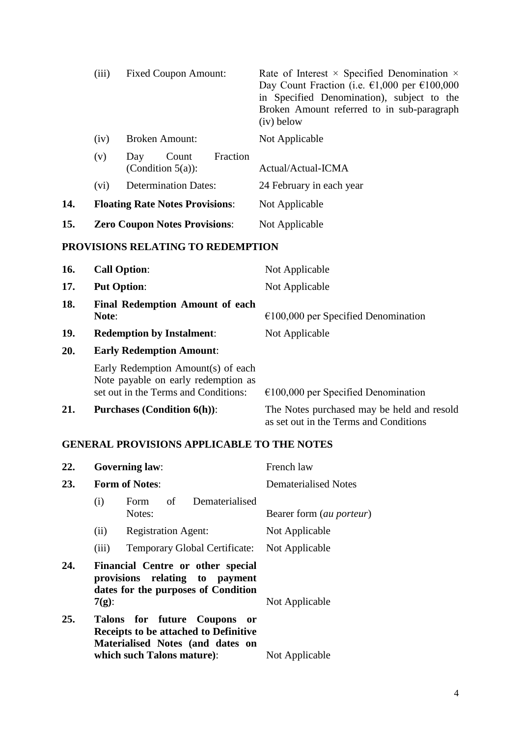|     | (iii)   | <b>Fixed Coupon Amount:</b>                      | Rate of Interest $\times$ Specified Denomination $\times$<br>Day Count Fraction (i.e. $\epsilon$ 1,000 per $\epsilon$ 100,000<br>in Specified Denomination), subject to the<br>Broken Amount referred to in sub-paragraph<br>$(iv)$ below |
|-----|---------|--------------------------------------------------|-------------------------------------------------------------------------------------------------------------------------------------------------------------------------------------------------------------------------------------------|
|     | (iv)    | <b>Broken Amount:</b>                            | Not Applicable                                                                                                                                                                                                                            |
|     | (v)     | Fraction<br>Count<br>Day<br>(Condition $5(a)$ ): | Actual/Actual-ICMA                                                                                                                                                                                                                        |
|     | $(v_i)$ | <b>Determination Dates:</b>                      | 24 February in each year                                                                                                                                                                                                                  |
| 14. |         | <b>Floating Rate Notes Provisions:</b>           | Not Applicable                                                                                                                                                                                                                            |
| 15. |         | <b>Zero Coupon Notes Provisions:</b>             | Not Applicable                                                                                                                                                                                                                            |

# **PROVISIONS RELATING TO REDEMPTION**

| 16. | <b>Call Option:</b>                                                                                               | Not Applicable                                |
|-----|-------------------------------------------------------------------------------------------------------------------|-----------------------------------------------|
| 17. | <b>Put Option:</b>                                                                                                | Not Applicable                                |
| 18. | <b>Final Redemption Amount of each</b><br>Note:                                                                   | $\epsilon$ 100,000 per Specified Denomination |
| 19. | <b>Redemption by Instalment:</b>                                                                                  | Not Applicable                                |
| 20. | <b>Early Redemption Amount:</b>                                                                                   |                                               |
|     | Early Redemption Amount(s) of each<br>Note payable on early redemption as<br>set out in the Terms and Conditions: | $€100,000$ per Specified Denomination         |

**21. Purchases (Condition 6(h))**: The Notes purchased may be held and resold

# as set out in the Terms and Conditions

### **GENERAL PROVISIONS APPLICABLE TO THE NOTES**

| 22. |          | <b>Governing law:</b>                                                                                                                               | French law                  |
|-----|----------|-----------------------------------------------------------------------------------------------------------------------------------------------------|-----------------------------|
| 23. |          | <b>Form of Notes:</b>                                                                                                                               | <b>Dematerialised Notes</b> |
|     | (i)      | of<br>Dematerialised<br>Form<br>Notes:                                                                                                              | Bearer form (au porteur)    |
|     | (ii)     | <b>Registration Agent:</b>                                                                                                                          | Not Applicable              |
|     | (iii)    | Temporary Global Certificate: Not Applicable                                                                                                        |                             |
| 24. | $7(g)$ : | Financial Centre or other special<br>provisions relating to payment<br>dates for the purposes of Condition                                          | Not Applicable              |
| 25. |          | Talons for future Coupons<br>- or<br><b>Receipts to be attached to Definitive</b><br>Materialised Notes (and dates on<br>which such Talons mature): | Not Applicable              |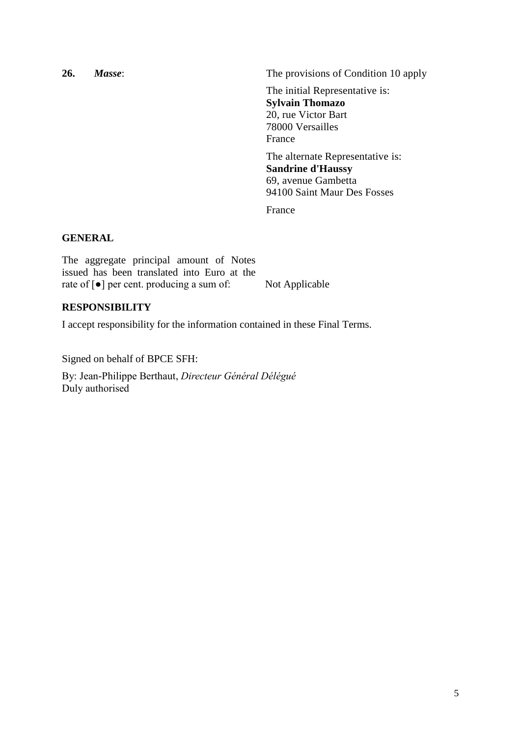**26.** *Masse*: The provisions of Condition 10 apply The initial Representative is: **Sylvain Thomazo** 20, rue Victor Bart 78000 Versailles France The alternate Representative is: **Sandrine d'Haussy** 69, avenue Gambetta 94100 Saint Maur Des Fosses

France

#### **GENERAL**

The aggregate principal amount of Notes issued has been translated into Euro at the rate of [●] per cent. producing a sum of: Not Applicable

## **RESPONSIBILITY**

I accept responsibility for the information contained in these Final Terms.

Signed on behalf of BPCE SFH:

By: Jean-Philippe Berthaut, *Directeur Général Délégué* Duly authorised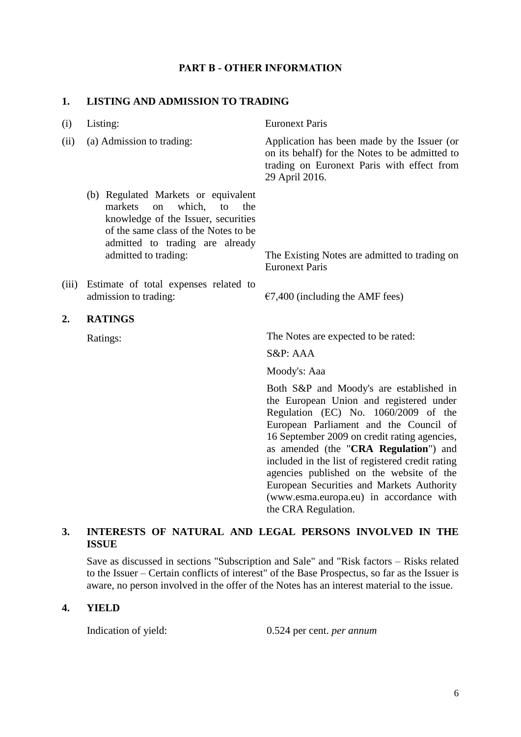#### **PART B - OTHER INFORMATION**

#### **1. LISTING AND ADMISSION TO TRADING**

| (i)   | Listing:                                                                                                                                                                                                              | <b>Euronext Paris</b>                                                                                                                                                                                                                                                                                                                                                                                      |
|-------|-----------------------------------------------------------------------------------------------------------------------------------------------------------------------------------------------------------------------|------------------------------------------------------------------------------------------------------------------------------------------------------------------------------------------------------------------------------------------------------------------------------------------------------------------------------------------------------------------------------------------------------------|
| (ii)  | (a) Admission to trading:                                                                                                                                                                                             | Application has been made by the Issuer (or<br>on its behalf) for the Notes to be admitted to<br>trading on Euronext Paris with effect from<br>29 April 2016.                                                                                                                                                                                                                                              |
|       | (b) Regulated Markets or equivalent<br>markets<br>which,<br>to<br>the<br>on<br>knowledge of the Issuer, securities<br>of the same class of the Notes to be<br>admitted to trading are already<br>admitted to trading: | The Existing Notes are admitted to trading on<br><b>Euronext Paris</b>                                                                                                                                                                                                                                                                                                                                     |
| (iii) | Estimate of total expenses related to<br>admission to trading:                                                                                                                                                        | $\epsilon$ 7,400 (including the AMF fees)                                                                                                                                                                                                                                                                                                                                                                  |
| 2.    | <b>RATINGS</b>                                                                                                                                                                                                        |                                                                                                                                                                                                                                                                                                                                                                                                            |
|       | Ratings:                                                                                                                                                                                                              | The Notes are expected to be rated:                                                                                                                                                                                                                                                                                                                                                                        |
|       |                                                                                                                                                                                                                       | S&P: AAA                                                                                                                                                                                                                                                                                                                                                                                                   |
|       |                                                                                                                                                                                                                       | Moody's: Aaa                                                                                                                                                                                                                                                                                                                                                                                               |
|       |                                                                                                                                                                                                                       | Both S&P and Moody's are established in<br>the European Union and registered under<br>Regulation (EC) No. 1060/2009 of the<br>European Parliament and the Council of<br>16 September 2009 on credit rating agencies,<br>as amended (the "CRA Regulation") and<br>included in the list of registered credit rating<br>agencies published on the website of the<br>European Securities and Markets Authority |

#### **3. INTERESTS OF NATURAL AND LEGAL PERSONS INVOLVED IN THE ISSUE**

Save as discussed in sections "Subscription and Sale" and "Risk factors – Risks related to the Issuer – Certain conflicts of interest" of the Base Prospectus, so far as the Issuer is aware, no person involved in the offer of the Notes has an interest material to the issue.

#### **4. YIELD**

Indication of yield: 0.524 per cent. *per annum*

the CRA Regulation.

(www.esma.europa.eu) in accordance with